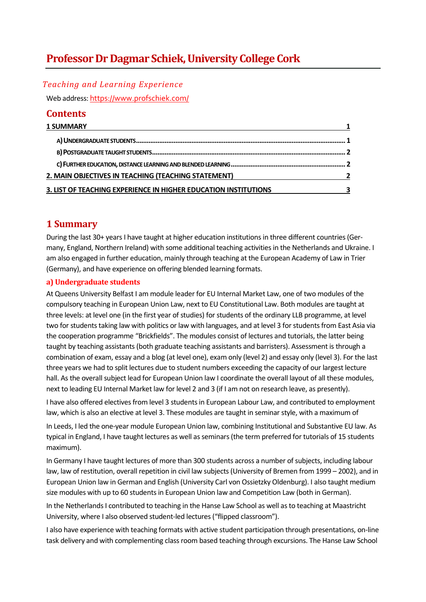# **Professor Dr Dagmar Schiek, University College Cork**

#### *Teaching and Learning Experience*

Web address: https://www.profschiek.com/

### **Contents**

| <b>1 SUMMARY</b>                                                |   |
|-----------------------------------------------------------------|---|
|                                                                 |   |
|                                                                 |   |
|                                                                 |   |
| 2. MAIN OBJECTIVES IN TEACHING (TEACHING STATEMENT)             | 2 |
| 3. LIST OF TEACHING EXPERIENCE IN HIGHER EDUCATION INSTITUTIONS | ર |

## **1 Summary**

During the last 30+ years I have taught at higher education institutions in three different countries (Germany, England, Northern Ireland) with some additional teaching activities in the Netherlands and Ukraine. I am also engaged in further education, mainly through teaching at the European Academy of Law in Trier (Germany), and have experience on offering blended learning formats.

#### **a) Undergraduate students**

At Queens University Belfast I am module leader for EU Internal Market Law, one of two modules of the compulsory teaching in European Union Law, next to EU Constitutional Law. Both modules are taught at three levels: at level one (in the first year of studies) for students of the ordinary LLB programme, at level two for students taking law with politics or law with languages, and at level 3 for students from East Asia via the cooperation programme "Brickfields". The modules consist of lectures and tutorials, the latter being taught by teaching assistants (both graduate teaching assistants and barristers). Assessment is through a combination of exam, essay and a blog (at level one), exam only (level 2) and essay only (level 3). For the last three years we had to split lectures due to student numbers exceeding the capacity of our largest lecture hall. As the overall subject lead for European Union law I coordinate the overall layout of all these modules, next to leading EU Internal Market law for level 2 and 3 (if I am not on research leave, as presently).

I have also offered electives from level 3 students in European Labour Law, and contributed to employment law, which is also an elective at level 3. These modules are taught in seminar style, with a maximum of

In Leeds, I led the one-year module European Union law, combining Institutional and Substantive EU law. As typical in England, I have taught lectures as well as seminars (the term preferred for tutorials of 15 students maximum).

In Germany I have taught lectures of more than 300 students across a number of subjects, including labour law, law of restitution, overall repetition in civil law subjects (University of Bremen from 1999 – 2002), and in European Union law in German and English (University Carl von Ossietzky Oldenburg). I also taught medium size modules with up to 60 students in European Union law and Competition Law (both in German).

In the Netherlands I contributed to teaching in the Hanse Law School as well as to teaching at Maastricht University, where I also observed student-led lectures ("flipped classroom").

I also have experience with teaching formats with active student participation through presentations, on-line task delivery and with complementing class room based teaching through excursions. The Hanse Law School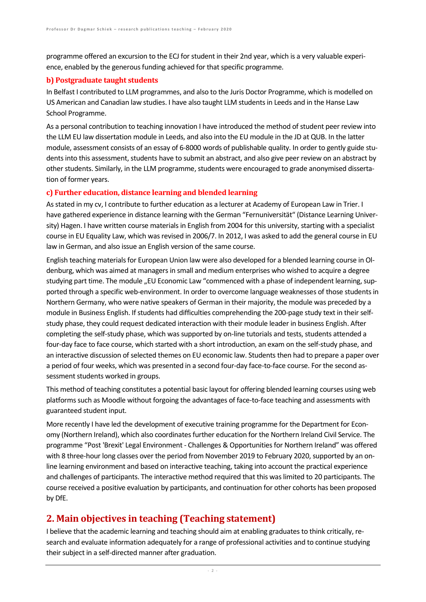programme offered an excursion to the ECJ for student in their 2nd year, which is a very valuable experience, enabled by the generous funding achieved for that specific programme.

#### **b) Postgraduate taught students**

In Belfast I contributed to LLM programmes, and also to the Juris Doctor Programme, which is modelled on US American and Canadian law studies. I have also taught LLM students in Leeds and in the Hanse Law School Programme.

As a personal contribution to teaching innovation I have introduced the method of student peer review into the LLM EU law dissertation module in Leeds, and also into the EU module in the JD at QUB. In the latter module, assessment consists of an essay of 6-8000 words of publishable quality. In order to gently guide students into this assessment, students have to submit an abstract, and also give peer review on an abstract by other students. Similarly, in the LLM programme, students were encouraged to grade anonymised dissertation of former years.

### **c) Further education, distance learning and blended learning**

As stated in my cv, I contribute to further education as a lecturer at Academy of European Law in Trier. I have gathered experience in distance learning with the German "Fernuniversität" (Distance Learning University) Hagen. I have written course materials in English from 2004 for this university, starting with a specialist course in EU Equality Law, which was revised in 2006/7. In 2012, I was asked to add the general course in EU law in German, and also issue an English version of the same course.

English teaching materials for European Union law were also developed for a blended learning course in Oldenburg, which was aimed at managers in small and medium enterprises who wished to acquire a degree studying part time. The module "EU Economic Law "commenced with a phase of independent learning, supported through a specific web-environment. In order to overcome language weaknesses of those students in Northern Germany, who were native speakers of German in their majority, the module was preceded by a module in Business English. If students had difficulties comprehending the 200-page study text in their selfstudy phase, they could request dedicated interaction with their module leader in business English. After completing the self-study phase, which was supported by on-line tutorials and tests, students attended a four-day face to face course, which started with a short introduction, an exam on the self-study phase, and an interactive discussion of selected themes on EU economic law. Students then had to prepare a paper over a period of four weeks, which was presented in a second four-day face-to-face course. For the second assessment students worked in groups.

This method of teaching constitutes a potential basic layout for offering blended learning courses using web platforms such as Moodle without forgoing the advantages of face-to-face teaching and assessments with guaranteed student input.

More recently I have led the development of executive training programme for the Department for Economy (Northern Ireland), which also coordinates further education for the Northern Ireland Civil Service. The programme "Post 'Brexit' Legal Environment - Challenges & Opportunities for Northern Ireland" was offered with 8 three-hour long classes over the period from November 2019 to February 2020, supported by an online learning environment and based on interactive teaching, taking into account the practical experience and challenges of participants. The interactive method required that this was limited to 20 participants. The course received a positive evaluation by participants, and continuation for other cohorts has been proposed by DfE.

# **2. Main objectives in teaching (Teaching statement)**

I believe that the academic learning and teaching should aim at enabling graduates to think critically, research and evaluate information adequately for a range of professional activities and to continue studying their subject in a self-directed manner after graduation.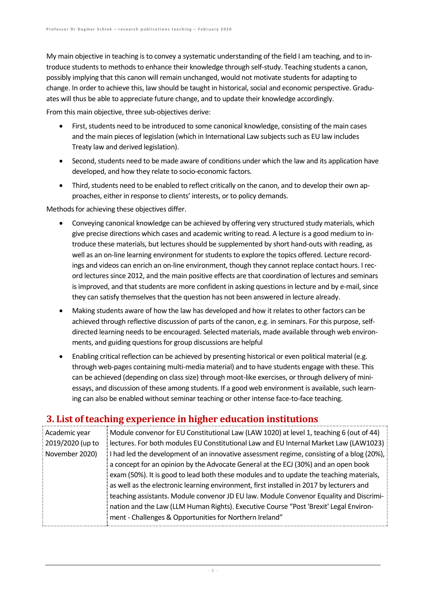My main objective in teaching is to convey a systematic understanding of the field I am teaching, and to introduce students to methods to enhance their knowledge through self-study. Teaching students a canon, possibly implying that this canon will remain unchanged, would not motivate students for adapting to change. In order to achieve this, law should be taught in historical, social and economic perspective. Graduates will thus be able to appreciate future change, and to update their knowledge accordingly.

From this main objective, three sub-objectives derive:

- First, students need to be introduced to some canonical knowledge, consisting of the main cases and the main pieces of legislation (which in International Law subjects such as EU law includes Treaty law and derived legislation).
- Second, students need to be made aware of conditions under which the law and its application have developed, and how they relate to socio-economic factors.
- Third, students need to be enabled to reflect critically on the canon, and to develop their own approaches, either in response to clients' interests, or to policy demands.

Methods for achieving these objectives differ.

- Conveying canonical knowledge can be achieved by offering very structured study materials, which give precise directions which cases and academic writing to read. A lecture is a good medium to introduce these materials, but lectures should be supplemented by short hand-outs with reading, as well as an on-line learning environment for students to explore the topics offered. Lecture recordings and videos can enrich an on-line environment, though they cannot replace contact hours. I record lectures since 2012, and the main positive effects are that coordination of lectures and seminars is improved, and that students are more confident in asking questions in lecture and by e-mail, since they can satisfy themselves that the question has not been answered in lecture already.
- Making students aware of how the law has developed and how it relates to other factors can be achieved through reflective discussion of parts of the canon, e.g. in seminars. For this purpose, selfdirected learning needs to be encouraged. Selected materials, made available through web environments, and guiding questions for group discussions are helpful
- Enabling critical reflection can be achieved by presenting historical or even political material (e.g. through web-pages containing multi-media material) and to have students engage with these. This can be achieved (depending on class size) through moot-like exercises, or through delivery of miniessays, and discussion of these among students. If a good web environment is available, such learning can also be enabled without seminar teaching or other intense face-to-face teaching.

## **3. List of teaching experience in higher education institutions**

| Academic year    | Module convenor for EU Constitutional Law (LAW 1020) at level 1, teaching 6 (out of 44)   |
|------------------|-------------------------------------------------------------------------------------------|
| 2019/2020 (up to | lectures. For both modules EU Constitutional Law and EU Internal Market Law (LAW1023)     |
| November 2020)   | I had led the development of an innovative assessment regime, consisting of a blog (20%), |
|                  | a concept for an opinion by the Advocate General at the ECJ (30%) and an open book        |
|                  | exam (50%). It is good to lead both these modules and to update the teaching materials,   |
|                  | as well as the electronic learning environment, first installed in 2017 by lecturers and  |
|                  | teaching assistants. Module convenor JD EU law. Module Convenor Equality and Discrimi-    |
|                  | nation and the Law (LLM Human Rights). Executive Course "Post 'Brexit' Legal Environ-     |
|                  | ment - Challenges & Opportunities for Northern Ireland"                                   |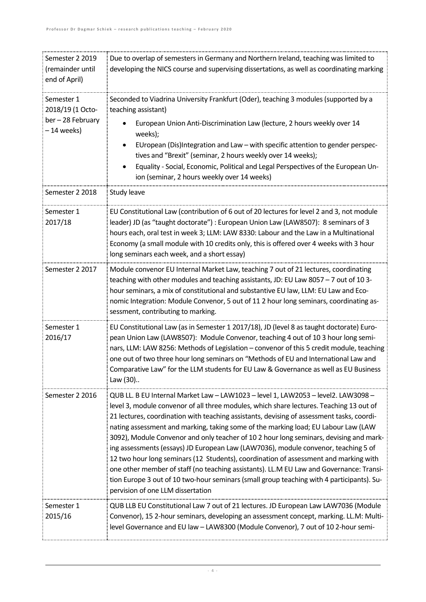| Semester 2 2019<br>(remainder until<br>end of April)            | Due to overlap of semesters in Germany and Northern Ireland, teaching was limited to<br>developing the NICS course and supervising dissertations, as well as coordinating marking                                                                                                                                                                                                                                                                                                                                                                                                                                                                                                                                                                                                                                                                                    |
|-----------------------------------------------------------------|----------------------------------------------------------------------------------------------------------------------------------------------------------------------------------------------------------------------------------------------------------------------------------------------------------------------------------------------------------------------------------------------------------------------------------------------------------------------------------------------------------------------------------------------------------------------------------------------------------------------------------------------------------------------------------------------------------------------------------------------------------------------------------------------------------------------------------------------------------------------|
| Semester 1<br>2018/19 (1 Octo-<br>ber-28 February<br>-14 weeks) | Seconded to Viadrina University Frankfurt (Oder), teaching 3 modules (supported by a<br>teaching assistant)<br>European Union Anti-Discrimination Law (lecture, 2 hours weekly over 14<br>weeks);<br>EUropean (Dis)Integration and Law - with specific attention to gender perspec-<br>tives and "Brexit" (seminar, 2 hours weekly over 14 weeks);<br>Equality - Social, Economic, Political and Legal Perspectives of the European Un-<br>ion (seminar, 2 hours weekly over 14 weeks)                                                                                                                                                                                                                                                                                                                                                                               |
| Semester 2 2018                                                 | Study leave                                                                                                                                                                                                                                                                                                                                                                                                                                                                                                                                                                                                                                                                                                                                                                                                                                                          |
| Semester 1<br>2017/18                                           | EU Constitutional Law (contribution of 6 out of 20 lectures for level 2 and 3, not module<br>leader) JD (as "taught doctorate") : European Union Law (LAW8507): 8 seminars of 3<br>hours each, oral test in week 3; LLM: LAW 8330: Labour and the Law in a Multinational<br>Economy (a small module with 10 credits only, this is offered over 4 weeks with 3 hour<br>long seminars each week, and a short essay)                                                                                                                                                                                                                                                                                                                                                                                                                                                    |
| Semester 2 2017                                                 | Module convenor EU Internal Market Law, teaching 7 out of 21 lectures, coordinating<br>teaching with other modules and teaching assistants, JD: EU Law 8057 - 7 out of 10 3-<br>hour seminars, a mix of constitutional and substantive EU law, LLM: EU Law and Eco-<br>nomic Integration: Module Convenor, 5 out of 11 2 hour long seminars, coordinating as-<br>sessment, contributing to marking.                                                                                                                                                                                                                                                                                                                                                                                                                                                                  |
| Semester 1<br>2016/17                                           | EU Constitutional Law (as in Semester 1 2017/18), JD (level 8 as taught doctorate) Euro-<br>pean Union Law (LAW8507): Module Convenor, teaching 4 out of 10 3 hour long semi-<br>nars, LLM: LAW 8256: Methods of Legislation - convenor of this 5 credit module, teaching<br>one out of two three hour long seminars on "Methods of EU and International Law and<br>Comparative Law" for the LLM students for EU Law & Governance as well as EU Business<br>Law (30)                                                                                                                                                                                                                                                                                                                                                                                                 |
| Semester 2 2016                                                 | QUB LL. B EU Internal Market Law - LAW1023 - level 1, LAW2053 - level2. LAW3098 -<br>level 3, module convenor of all three modules, which share lectures. Teaching 13 out of<br>21 lectures, coordination with teaching assistants, devising of assessment tasks, coordi-<br>nating assessment and marking, taking some of the marking load; EU Labour Law (LAW<br>3092), Module Convenor and only teacher of 10 2 hour long seminars, devising and mark-<br>ing assessments (essays) JD European Law (LAW7036), module convenor, teaching 5 of<br>12 two hour long seminars (12 Students), coordination of assessment and marking with<br>one other member of staff (no teaching assistants). LL.M EU Law and Governance: Transi-<br>tion Europe 3 out of 10 two-hour seminars (small group teaching with 4 participants). Su-<br>pervision of one LLM dissertation |
| Semester 1<br>2015/16                                           | QUB LLB EU Constitutional Law 7 out of 21 lectures. JD European Law LAW7036 (Module<br>Convenor), 15 2-hour seminars, developing an assessment concept, marking. LL.M: Multi-<br>level Governance and EU law - LAW8300 (Module Convenor), 7 out of 10 2-hour semi-                                                                                                                                                                                                                                                                                                                                                                                                                                                                                                                                                                                                   |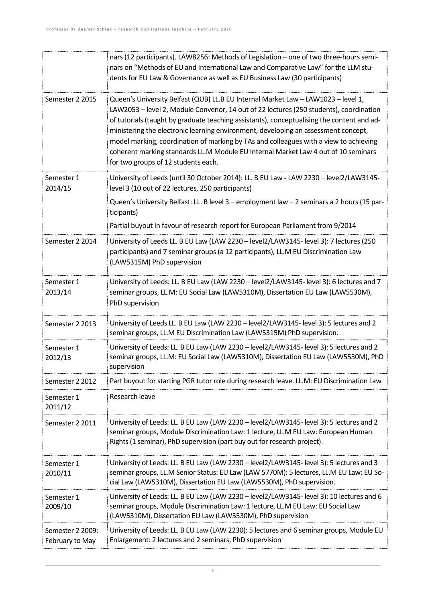|                                     | nars (12 participants). LAW8256: Methods of Legislation - one of two three-hours semi-<br>nars on "Methods of EU and International Law and Comparative Law" for the LLM stu-<br>dents for EU Law & Governance as well as EU Business Law (30 participants)                                                                                                                                                                                                                                                                                                                            |
|-------------------------------------|---------------------------------------------------------------------------------------------------------------------------------------------------------------------------------------------------------------------------------------------------------------------------------------------------------------------------------------------------------------------------------------------------------------------------------------------------------------------------------------------------------------------------------------------------------------------------------------|
| Semester 2 2015                     | Queen's University Belfast (QUB) LL.B EU Internal Market Law - LAW1023 - level 1,<br>LAW2053 - level 2, Module Convenor, 14 out of 22 lectures (250 students), coordination<br>of tutorials (taught by graduate teaching assistants), conceptualising the content and ad-<br>ministering the electronic learning environment, developing an assessment concept,<br>model marking, coordination of marking by TAs and colleagues with a view to achieving<br>coherent marking standards LL.M Module EU Internal Market Law 4 out of 10 seminars<br>for two groups of 12 students each. |
| Semester 1<br>2014/15               | University of Leeds (until 30 October 2014): LL. B EU Law - LAW 2230 - level2/LAW3145-<br>level 3 (10 out of 22 lectures, 250 participants)<br>Queen's University Belfast: LL. B level 3 – employment law – 2 seminars a 2 hours (15 par-<br>ticipants)<br>Partial buyout in favour of research report for European Parliament from 9/2014                                                                                                                                                                                                                                            |
| Semester 2 2014                     | University of Leeds LL. B EU Law (LAW 2230 - level2/LAW3145- level 3): 7 lectures (250<br>participants) and 7 seminar groups (a 12 participants), LL.M EU Discrimination Law<br>(LAW5315M) PhD supervision                                                                                                                                                                                                                                                                                                                                                                            |
| Semester 1<br>2013/14               | University of Leeds: LL. B EU Law (LAW 2230 - level2/LAW3145- level 3): 6 lectures and 7<br>seminar groups, LL.M: EU Social Law (LAW5310M), Dissertation EU Law (LAW5530M),<br>PhD supervision                                                                                                                                                                                                                                                                                                                                                                                        |
| Semester 2 2013                     | University of Leeds LL. B EU Law (LAW 2230 - level2/LAW3145- level 3): 5 lectures and 2<br>seminar groups, LL.M EU Discrimination Law (LAW5315M) PhD supervision.                                                                                                                                                                                                                                                                                                                                                                                                                     |
| Semester 1<br>2012/13               | University of Leeds: LL. B EU Law (LAW 2230 - level2/LAW3145- level 3): 5 lectures and 2<br>seminar groups, LL.M: EU Social Law (LAW5310M), Dissertation EU Law (LAW5530M), PhD<br>supervision                                                                                                                                                                                                                                                                                                                                                                                        |
| Semester 2 2012                     | Part buyout for starting PGR tutor role during research leave. LL.M: EU Discrimination Law                                                                                                                                                                                                                                                                                                                                                                                                                                                                                            |
| Semester 1<br>2011/12               | Research leave                                                                                                                                                                                                                                                                                                                                                                                                                                                                                                                                                                        |
| Semester 2 2011                     | University of Leeds: LL. B EU Law (LAW 2230 - level2/LAW3145- level 3): 5 lectures and 2<br>seminar groups, Module Discrimination Law: 1 lecture, LL.M EU Law: European Human<br>Rights (1 seminar), PhD supervision (part buy out for research project).                                                                                                                                                                                                                                                                                                                             |
| Semester 1<br>2010/11               | University of Leeds: LL. B EU Law (LAW 2230 - level2/LAW3145- level 3): 5 lectures and 3<br>seminar groups, LL.M Senior Status: EU Law (LAW 5770M): 5 lectures, LL.M EU Law: EU So-<br>cial Law (LAW5310M), Dissertation EU Law (LAW5530M), PhD supervision.                                                                                                                                                                                                                                                                                                                          |
| Semester 1<br>2009/10               | University of Leeds: LL. B EU Law (LAW 2230 - level2/LAW3145- level 3): 10 lectures and 6<br>seminar groups, Module Discrimination Law: 1 lecture, LL.M EU Law: EU Social Law<br>(LAW5310M), Dissertation EU Law (LAW5530M), PhD supervision                                                                                                                                                                                                                                                                                                                                          |
| Semester 2 2009:<br>February to May | University of Leeds: LL. B EU Law (LAW 2230): 5 lectures and 6 seminar groups, Module EU<br>Enlargement: 2 lectures and 2 seminars, PhD supervision                                                                                                                                                                                                                                                                                                                                                                                                                                   |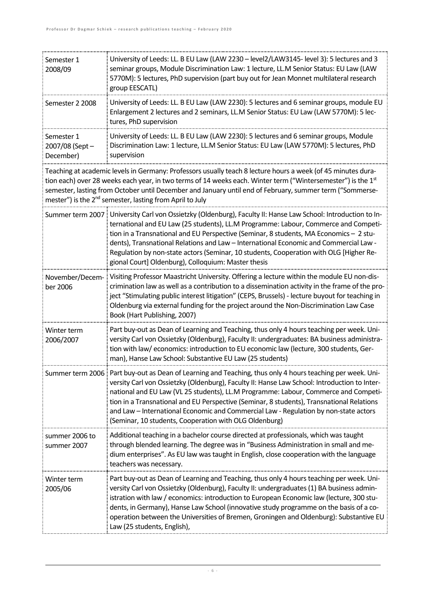| Semester 1<br>2008/09                                                                                                                                                                                                                                                                                                                                                                                            | University of Leeds: LL. B EU Law (LAW 2230 - level2/LAW3145- level 3): 5 lectures and 3<br>seminar groups, Module Discrimination Law: 1 lecture, LL.M Senior Status: EU Law (LAW<br>5770M): 5 lectures, PhD supervision (part buy out for Jean Monnet multilateral research<br>group EESCATL)                                                                                                                                                                                                                                                    |
|------------------------------------------------------------------------------------------------------------------------------------------------------------------------------------------------------------------------------------------------------------------------------------------------------------------------------------------------------------------------------------------------------------------|---------------------------------------------------------------------------------------------------------------------------------------------------------------------------------------------------------------------------------------------------------------------------------------------------------------------------------------------------------------------------------------------------------------------------------------------------------------------------------------------------------------------------------------------------|
| Semester 2 2008                                                                                                                                                                                                                                                                                                                                                                                                  | University of Leeds: LL. B EU Law (LAW 2230): 5 lectures and 6 seminar groups, module EU<br>Enlargement 2 lectures and 2 seminars, LL.M Senior Status: EU Law (LAW 5770M): 5 lec-<br>tures, PhD supervision                                                                                                                                                                                                                                                                                                                                       |
| Semester 1<br>2007/08 (Sept-<br>December)                                                                                                                                                                                                                                                                                                                                                                        | University of Leeds: LL. B EU Law (LAW 2230): 5 lectures and 6 seminar groups, Module<br>Discrimination Law: 1 lecture, LL.M Senior Status: EU Law (LAW 5770M): 5 lectures, PhD<br>supervision                                                                                                                                                                                                                                                                                                                                                    |
| Teaching at academic levels in Germany: Professors usually teach 8 lecture hours a week (of 45 minutes dura-<br>tion each) over 28 weeks each year, in two terms of 14 weeks each. Winter term ("Wintersemester") is the 1st<br>semester, lasting from October until December and January until end of February, summer term ("Sommerse-<br>mester") is the 2 <sup>nd</sup> semester, lasting from April to July |                                                                                                                                                                                                                                                                                                                                                                                                                                                                                                                                                   |
|                                                                                                                                                                                                                                                                                                                                                                                                                  | Summer term 2007   University Carl von Ossietzky (Oldenburg), Faculty II: Hanse Law School: Introduction to In-<br>ternational and EU Law (25 students), LL.M Programme: Labour, Commerce and Competi-<br>tion in a Transnational and EU Perspective (Seminar, 8 students, MA Economics - 2 stu-<br>dents), Transnational Relations and Law - International Economic and Commercial Law -<br>Regulation by non-state actors (Seminar, 10 students, Cooperation with OLG [Higher Re-<br>gional Court] Oldenburg), Colloquium: Master thesis        |
| November/Decem-<br>ber 2006                                                                                                                                                                                                                                                                                                                                                                                      | Visiting Professor Maastricht University. Offering a lecture within the module EU non-dis-<br>crimination law as well as a contribution to a dissemination activity in the frame of the pro-<br>ject "Stimulating public interest litigation" (CEPS, Brussels) - lecture buyout for teaching in<br>Oldenburg via external funding for the project around the Non-Discrimination Law Case<br>Book (Hart Publishing, 2007)                                                                                                                          |
| Winter term<br>2006/2007                                                                                                                                                                                                                                                                                                                                                                                         | Part buy-out as Dean of Learning and Teaching, thus only 4 hours teaching per week. Uni-<br>versity Carl von Ossietzky (Oldenburg), Faculty II: undergraduates: BA business administra-<br>tion with law/economics: introduction to EU economic law (lecture, 300 students, Ger-<br>man), Hanse Law School: Substantive EU Law (25 students)                                                                                                                                                                                                      |
|                                                                                                                                                                                                                                                                                                                                                                                                                  | Summer term 2006   Part buy-out as Dean of Learning and Teaching, thus only 4 hours teaching per week. Uni-<br>versity Carl von Ossietzky (Oldenburg), Faculty II: Hanse Law School: Introduction to Inter-<br>national and EU Law (VL 25 students), LL.M Programme: Labour, Commerce and Competi-<br>tion in a Transnational and EU Perspective (Seminar, 8 students), Transnational Relations<br>and Law - International Economic and Commercial Law - Regulation by non-state actors<br>(Seminar, 10 students, Cooperation with OLG Oldenburg) |
| summer 2006 to<br>summer 2007                                                                                                                                                                                                                                                                                                                                                                                    | Additional teaching in a bachelor course directed at professionals, which was taught<br>through blended learning. The degree was in "Business Administration in small and me-<br>dium enterprises". As EU law was taught in English, close cooperation with the language<br>teachers was necessary.                                                                                                                                                                                                                                               |
| Winter term<br>2005/06                                                                                                                                                                                                                                                                                                                                                                                           | Part buy-out as Dean of Learning and Teaching, thus only 4 hours teaching per week. Uni-<br>versity Carl von Ossietzky (Oldenburg), Faculty II: undergraduates (1) BA business admin-<br>istration with law / economics: introduction to European Economic law (lecture, 300 stu-<br>dents, in Germany), Hanse Law School (innovative study programme on the basis of a co-<br>operation between the Universities of Bremen, Groningen and Oldenburg): Substantive EU<br>Law (25 students, English),                                              |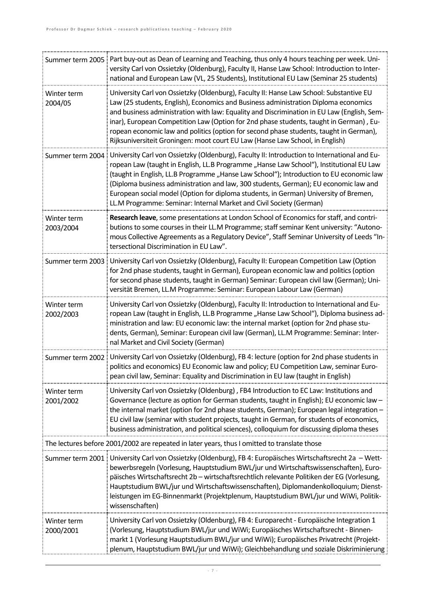| Summer term 2005         | Part buy-out as Dean of Learning and Teaching, thus only 4 hours teaching per week. Uni-<br>versity Carl von Ossietzky (Oldenburg), Faculty II, Hanse Law School: Introduction to Inter-<br>national and European Law (VL, 25 Students), Institutional EU Law (Seminar 25 students)                                                                                                                                                                                                                                                               |
|--------------------------|---------------------------------------------------------------------------------------------------------------------------------------------------------------------------------------------------------------------------------------------------------------------------------------------------------------------------------------------------------------------------------------------------------------------------------------------------------------------------------------------------------------------------------------------------|
| Winter term<br>2004/05   | University Carl von Ossietzky (Oldenburg), Faculty II: Hanse Law School: Substantive EU<br>Law (25 students, English), Economics and Business administration Diploma economics<br>and business administration with law: Equality and Discrimination in EU Law (English, Sem-<br>inar), European Competition Law (Option for 2nd phase students, taught in German), Eu-<br>ropean economic law and politics (option for second phase students, taught in German),<br>Rijksuniversiteit Groningen: moot court EU Law (Hanse Law School, in English) |
| Summer term 2004         | University Carl von Ossietzky (Oldenburg), Faculty II: Introduction to International and Eu-<br>ropean Law (taught in English, LL.B Programme "Hanse Law School"), Institutional EU Law<br>(taught in English, LL.B Programme "Hanse Law School"); Introduction to EU economic law<br>(Diploma business administration and law, 300 students, German); EU economic law and<br>European social model (Option for diploma students, in German) University of Bremen,<br>LL.M Programme: Seminar: Internal Market and Civil Society (German)         |
| Winter term<br>2003/2004 | Research leave, some presentations at London School of Economics for staff, and contri-<br>butions to some courses in their LL.M Programme; staff seminar Kent university: "Autono-<br>mous Collective Agreements as a Regulatory Device", Staff Seminar University of Leeds "In-<br>tersectional Discrimination in EU Law".                                                                                                                                                                                                                      |
| Summer term 2003         | University Carl von Ossietzky (Oldenburg), Faculty II: European Competition Law (Option<br>for 2nd phase students, taught in German), European economic law and politics (option<br>for second phase students, taught in German) Seminar: European civil law (German); Uni-<br>versität Bremen, LL.M Programme: Seminar: European Labour Law (German)                                                                                                                                                                                             |
| Winter term<br>2002/2003 | University Carl von Ossietzky (Oldenburg), Faculty II: Introduction to International and Eu-<br>ropean Law (taught in English, LL.B Programme "Hanse Law School"), Diploma business ad-<br>ministration and law: EU economic law: the internal market (option for 2nd phase stu-<br>dents, German), Seminar: European civil law (German), LL.M Programme: Seminar: Inter-<br>nal Market and Civil Society (German)                                                                                                                                |
| Summer term 2002         | University Carl von Ossietzky (Oldenburg), FB 4: lecture (option for 2nd phase students in<br>politics and economics) EU Economic law and policy; EU Competition Law, seminar Euro-<br>pean civil law, Seminar: Equality and Discrimination in EU law (taught in English)                                                                                                                                                                                                                                                                         |
| Winter term<br>2001/2002 | University Carl von Ossietzky (Oldenburg), FB4 Introduction to EC Law: Institutions and<br>Governance (lecture as option for German students, taught in English); EU economic law -<br>the internal market (option for 2nd phase students, German); European legal integration -<br>EU civil law (seminar with student projects, taught in German, for students of economics,<br>business administration, and political sciences), colloquium for discussing diploma theses                                                                       |
|                          | The lectures before 2001/2002 are repeated in later years, thus I omitted to translate those                                                                                                                                                                                                                                                                                                                                                                                                                                                      |
| Summer term 2001         | University Carl von Ossietzky (Oldenburg), FB 4: Europäisches Wirtschaftsrecht 2a - Wett-<br>bewerbsregeln (Vorlesung, Hauptstudium BWL/jur und Wirtschaftswissenschaften), Euro-<br>päisches Wirtschaftsrecht 2b - wirtschaftsrechtlich relevante Politiken der EG (Vorlesung,<br>Hauptstudium BWL/jur und Wirtschaftswissenschaften), Diplomandenkolloquium; Dienst-<br>leistungen im EG-Binnenmarkt (Projektplenum, Hauptstudium BWL/jur und WiWi, Politik-<br>wissenschaften)                                                                 |
| Winter term<br>2000/2001 | University Carl von Ossietzky (Oldenburg), FB 4: Europarecht - Europäische Integration 1<br>(Vorlesung, Hauptstudium BWL/jur und WiWi; Europäisches Wirtschaftsrecht - Binnen-<br>markt 1 (Vorlesung Hauptstudium BWL/jur und WiWi); Europäisches Privatrecht (Projekt-<br>plenum, Hauptstudium BWL/jur und WiWi); Gleichbehandlung und soziale Diskriminierung                                                                                                                                                                                   |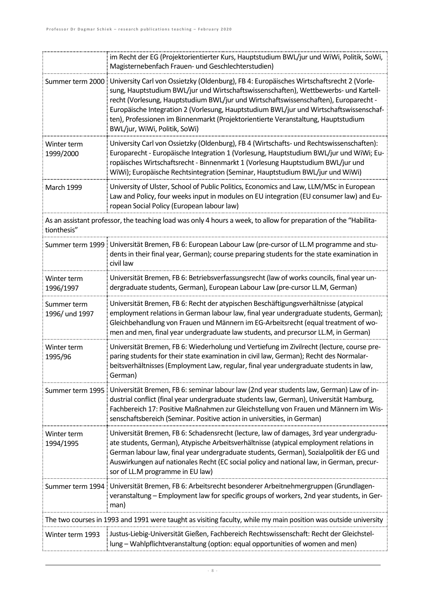|                                                                                                                                 | im Recht der EG (Projektorientierter Kurs, Hauptstudium BWL/jur und WiWi, Politik, SoWi,<br>Magisternebenfach Frauen- und Geschlechterstudien)                                                                                                                                                                                                                                                                                                                                           |
|---------------------------------------------------------------------------------------------------------------------------------|------------------------------------------------------------------------------------------------------------------------------------------------------------------------------------------------------------------------------------------------------------------------------------------------------------------------------------------------------------------------------------------------------------------------------------------------------------------------------------------|
| Summer term 2000                                                                                                                | University Carl von Ossietzky (Oldenburg), FB 4: Europäisches Wirtschaftsrecht 2 (Vorle-<br>sung, Hauptstudium BWL/jur und Wirtschaftswissenschaften), Wettbewerbs- und Kartell-<br>recht (Vorlesung, Hauptstudium BWL/jur und Wirtschaftswissenschaften), Europarecht -<br>Europäische Integration 2 (Vorlesung, Hauptstudium BWL/jur und Wirtschaftswissenschaf-<br>ten), Professionen im Binnenmarkt (Projektorientierte Veranstaltung, Hauptstudium<br>BWL/jur, WiWi, Politik, SoWi) |
| Winter term<br>1999/2000                                                                                                        | University Carl von Ossietzky (Oldenburg), FB 4 (Wirtschafts- und Rechtswissenschaften):<br>Europarecht - Europäische Integration 1 (Vorlesung, Hauptstudium BWL/jur und WiWi; Eu-<br>ropäisches Wirtschaftsrecht - Binnenmarkt 1 (Vorlesung Hauptstudium BWL/jur und<br>WiWi); Europäische Rechtsintegration (Seminar, Hauptstudium BWL/jur und WiWi)                                                                                                                                   |
| <b>March 1999</b>                                                                                                               | University of Ulster, School of Public Politics, Economics and Law, LLM/MSc in European<br>Law and Policy, four weeks input in modules on EU integration (EU consumer law) and Eu-<br>ropean Social Policy (European labour law)                                                                                                                                                                                                                                                         |
| As an assistant professor, the teaching load was only 4 hours a week, to allow for preparation of the "Habilita-<br>tionthesis" |                                                                                                                                                                                                                                                                                                                                                                                                                                                                                          |
| Summer term 1999                                                                                                                | Universität Bremen, FB 6: European Labour Law (pre-cursor of LL.M programme and stu-<br>dents in their final year, German); course preparing students for the state examination in<br>civil law                                                                                                                                                                                                                                                                                          |
| Winter term<br>1996/1997                                                                                                        | Universität Bremen, FB 6: Betriebsverfassungsrecht (law of works councils, final year un-<br>dergraduate students, German), European Labour Law (pre-cursor LL.M, German)                                                                                                                                                                                                                                                                                                                |
| Summer term<br>1996/ und 1997                                                                                                   | Universität Bremen, FB 6: Recht der atypischen Beschäftigungsverhältnisse (atypical<br>employment relations in German labour law, final year undergraduate students, German);<br>Gleichbehandlung von Frauen und Männern im EG-Arbeitsrecht (equal treatment of wo-<br>men and men, final year undergraduate law students, and precursor LL.M, in German)                                                                                                                                |
| Winter term<br>1995/96                                                                                                          | Universität Bremen, FB 6: Wiederholung und Vertiefung im Zivilrecht (lecture, course pre-<br>paring students for their state examination in civil law, German); Recht des Normalar-<br>beitsverhältnisses (Employment Law, regular, final year undergraduate students in law,<br>German)                                                                                                                                                                                                 |
| Summer term 1995 i                                                                                                              | Universität Bremen, FB 6: seminar labour law (2nd year students law, German) Law of in-<br>dustrial conflict (final year undergraduate students law, German), Universität Hamburg,<br>Fachbereich 17: Positive Maßnahmen zur Gleichstellung von Frauen und Männern im Wis-<br>senschaftsbereich (Seminar. Positive action in universities, in German)                                                                                                                                    |
| Winter term<br>1994/1995                                                                                                        | Universität Bremen, FB 6: Schadensrecht (lecture, law of damages, 3rd year undergradu-<br>ate students, German), Atypische Arbeitsverhältnisse (atypical employment relations in<br>German labour law, final year undergraduate students, German), Sozialpolitik der EG und<br>Auswirkungen auf nationales Recht (EC social policy and national law, in German, precur-<br>sor of LL.M programme in EU law)                                                                              |
|                                                                                                                                 | Summer term 1994 Universität Bremen, FB 6: Arbeitsrecht besonderer Arbeitnehmergruppen (Grundlagen-<br>veranstaltung - Employment law for specific groups of workers, 2nd year students, in Ger-<br>man)                                                                                                                                                                                                                                                                                 |
|                                                                                                                                 | The two courses in 1993 and 1991 were taught as visiting faculty, while my main position was outside university                                                                                                                                                                                                                                                                                                                                                                          |
| Winter term 1993                                                                                                                | Justus-Liebig-Universität Gießen, Fachbereich Rechtswissenschaft: Recht der Gleichstel-<br>lung - Wahlpflichtveranstaltung (option: equal opportunities of women and men)                                                                                                                                                                                                                                                                                                                |